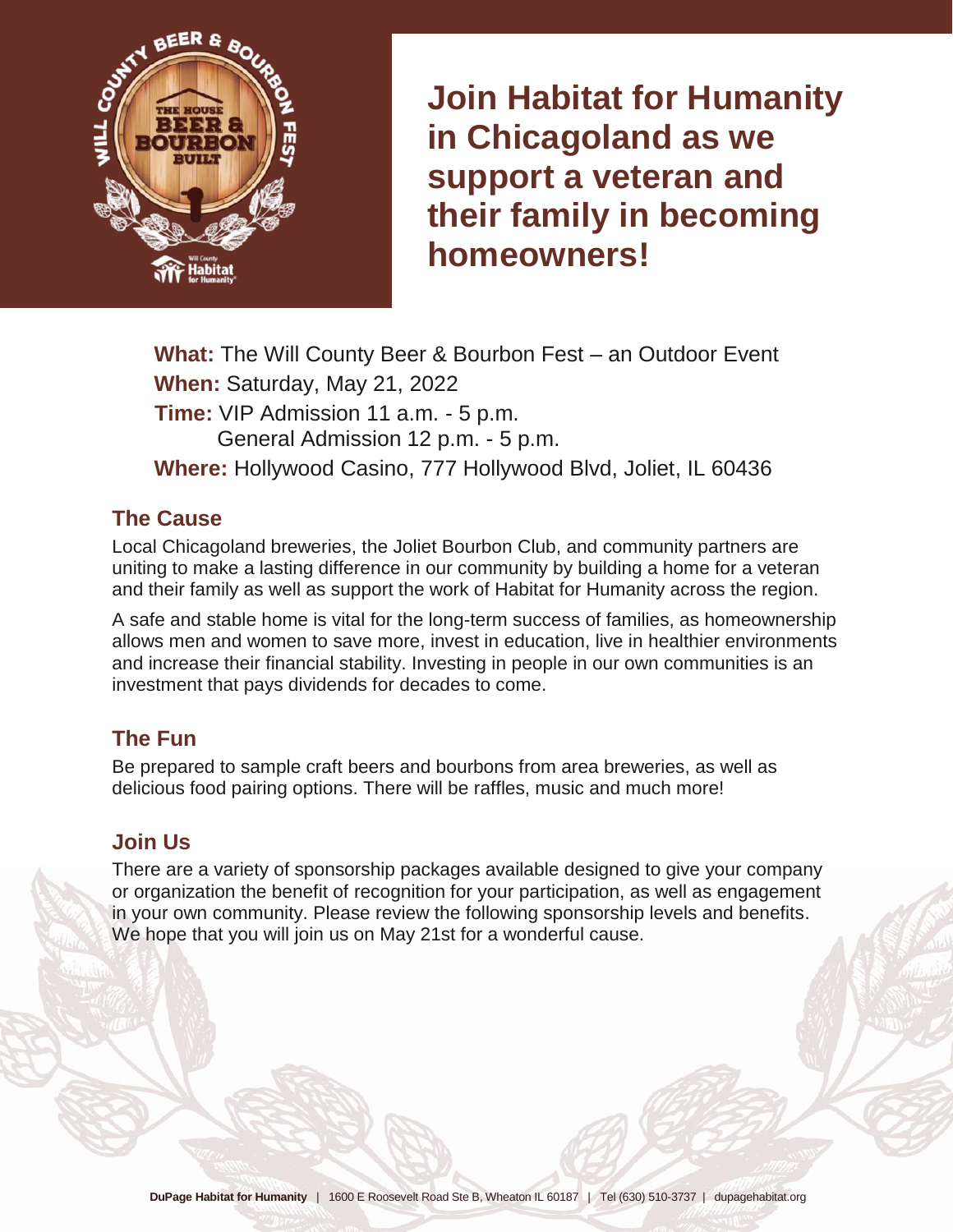

**Join Habitat for Humanity in Chicagoland as we support a veteran and their family in becoming homeowners!** 

**What:** The Will County Beer & Bourbon Fest – an Outdoor Event **When:** Saturday, May 21, 2022 **Time:** VIP Admission 11 a.m. - 5 p.m. General Admission 12 p.m. - 5 p.m. **Where:** Hollywood Casino, 777 Hollywood Blvd, Joliet, IL 60436

#### **The Cause**

Local Chicagoland breweries, the Joliet Bourbon Club, and community partners are uniting to make a lasting difference in our community by building a home for a veteran and their family as well as support the work of Habitat for Humanity across the region.

A safe and stable home is vital for the long-term success of families, as homeownership allows men and women to save more, invest in education, live in healthier environments and increase their financial stability. Investing in people in our own communities is an investment that pays dividends for decades to come.

### **The Fun**

Be prepared to sample craft beers and bourbons from area breweries, as well as delicious food pairing options. There will be raffles, music and much more!

### **Join Us**

There are a variety of sponsorship packages available designed to give your company or organization the benefit of recognition for your participation, as well as engagement in your own community. Please review the following sponsorship levels and benefits. We hope that you will join us on May 21st for a wonderful cause.